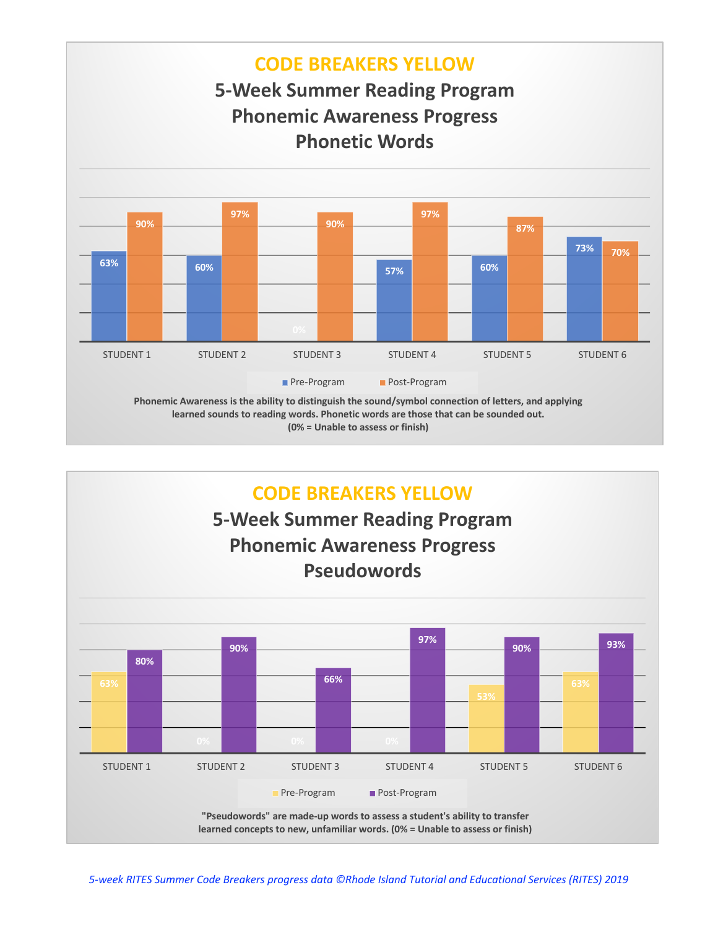

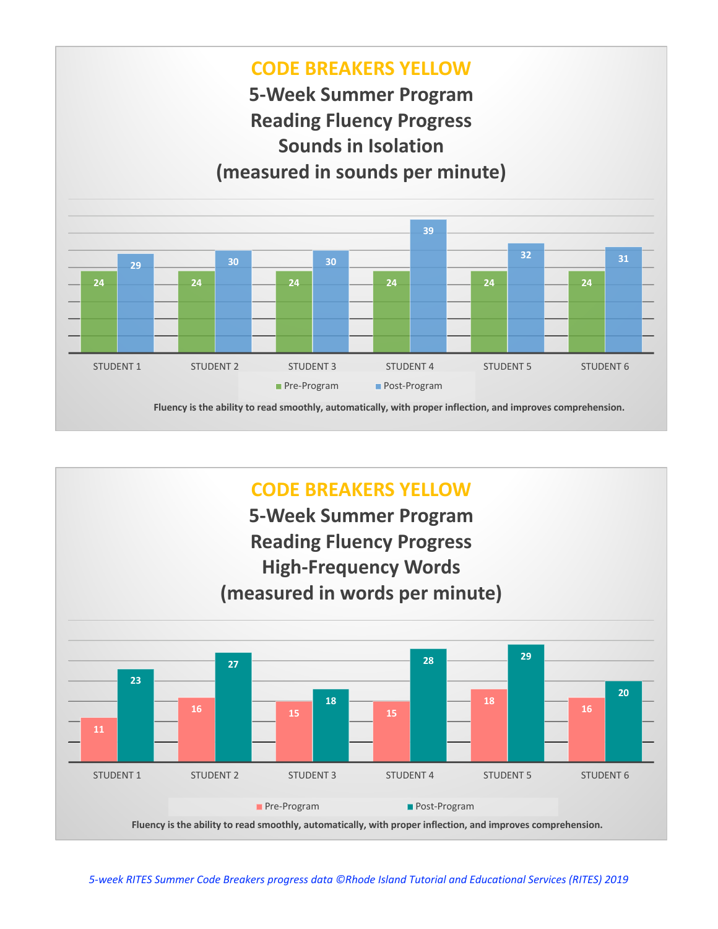

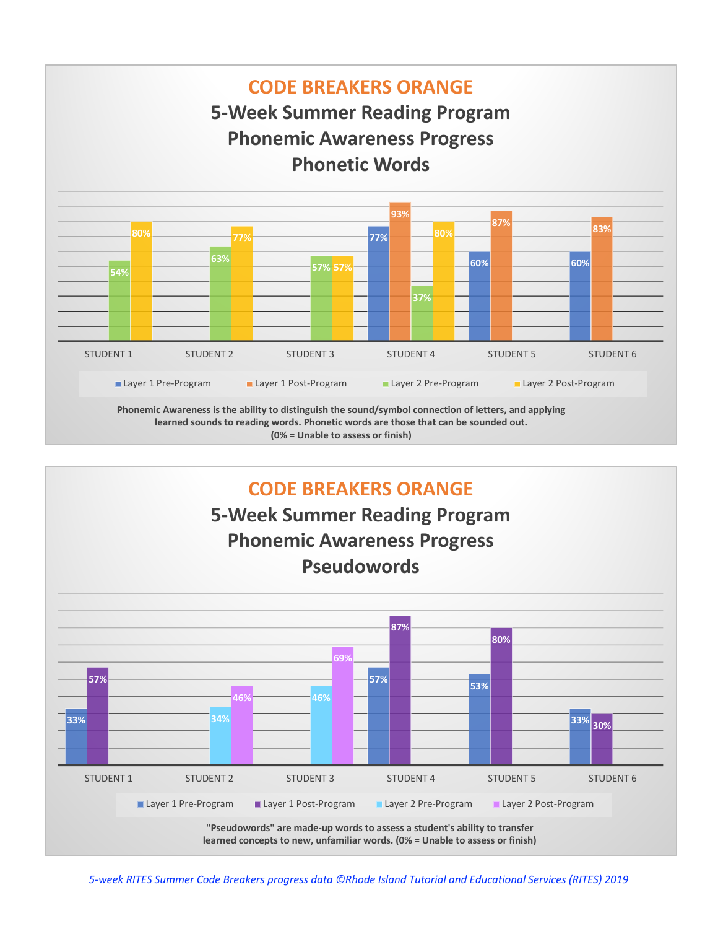

**(0% = Unable to assess or finish)**

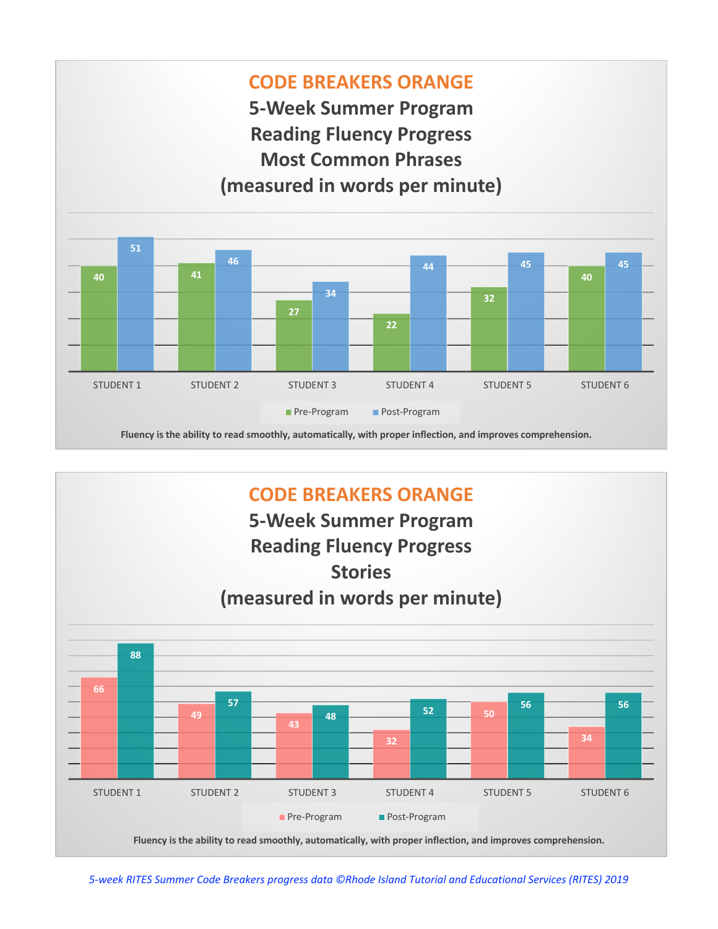



**Fluency is the ability to read smoothly, automatically, with proper inflection, and improves comprehension.**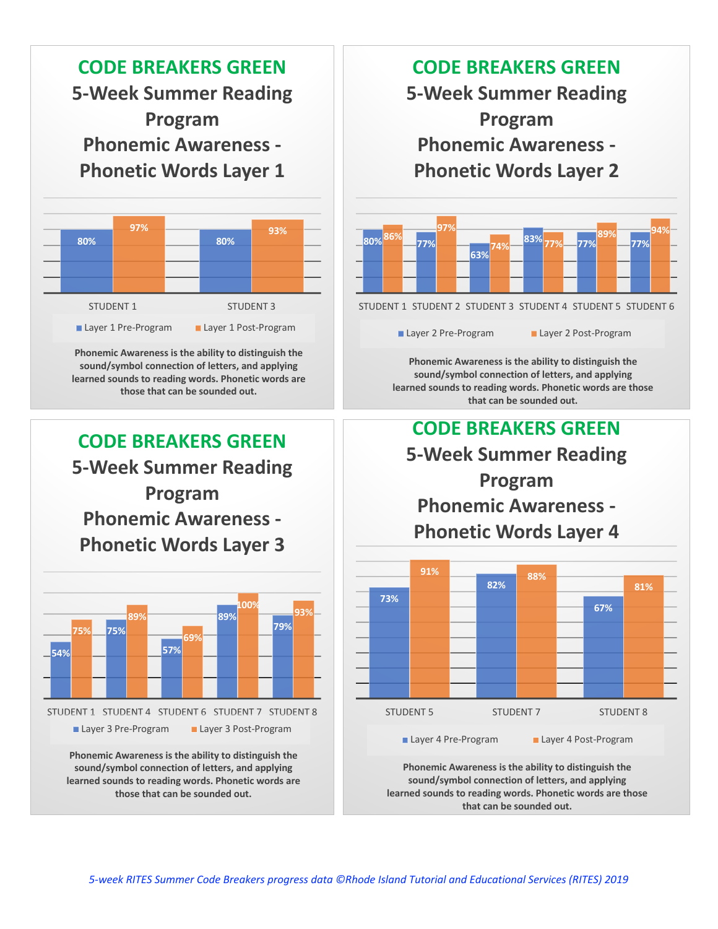

STUDENT 1 STUDENT 3

Layer 1 Pre-Program Layer 1 Post-Program

**Phonemic Awareness is the ability to distinguish the sound/symbol connection of letters, and applying learned sounds to reading words. Phonetic words are those that can be sounded out.** 

**CODE BREAKERS GREEN 5-Week Summer Reading Program Phonemic Awareness - Phonetic Words Layer 3**



**sound/symbol connection of letters, and applying learned sounds to reading words. Phonetic words are those that can be sounded out.** 

## **CODE BREAKERS GREEN**

**5-Week Summer Reading Program Phonemic Awareness - Phonetic Words Layer 2**



Layer 2 Pre-Program Layer 2 Post-Program

**Phonemic Awareness is the ability to distinguish the sound/symbol connection of letters, and applying learned sounds to reading words. Phonetic words are those that can be sounded out.** 





**Phonemic Awareness is the ability to distinguish the sound/symbol connection of letters, and applying learned sounds to reading words. Phonetic words are those that can be sounded out.**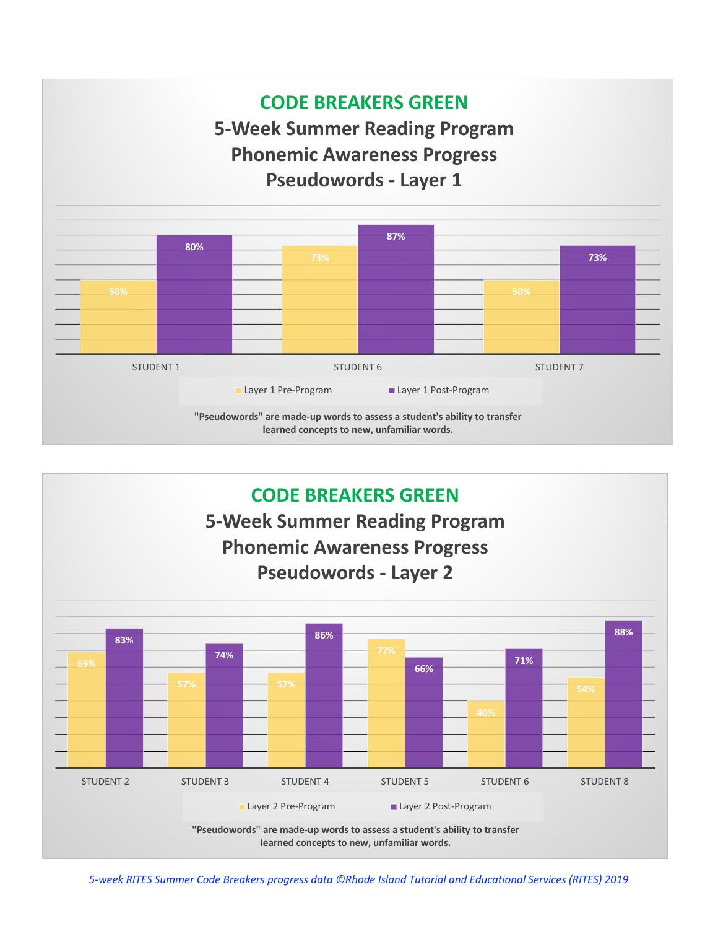

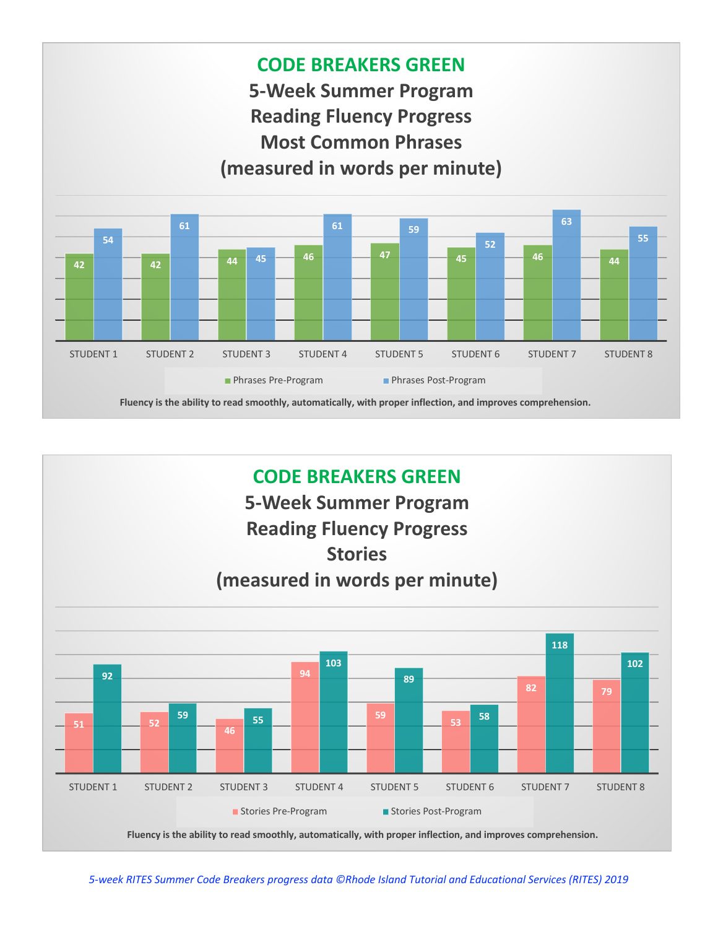

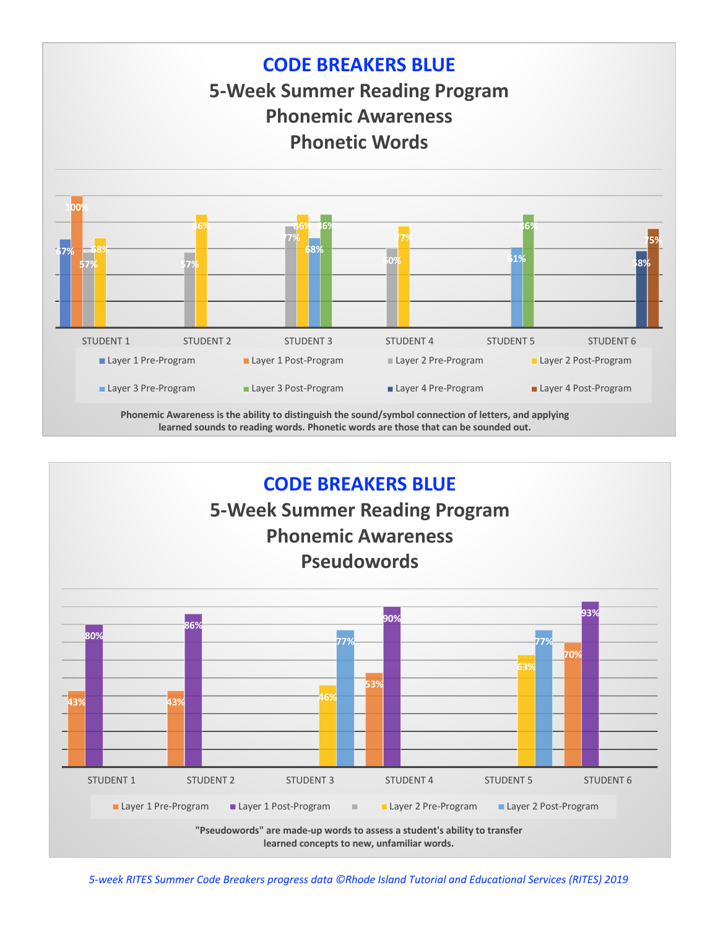

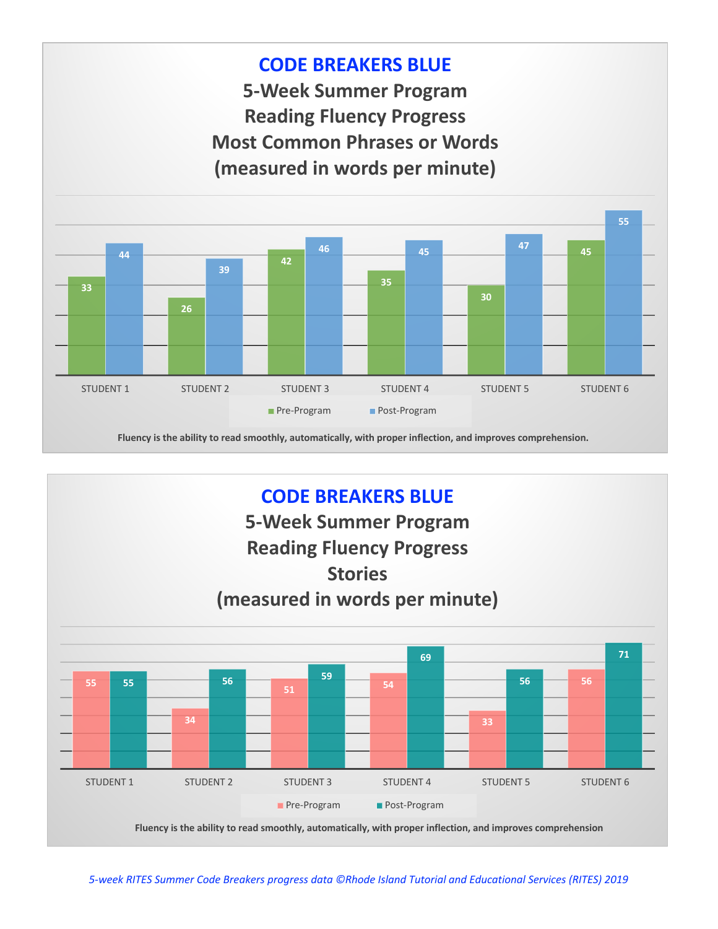

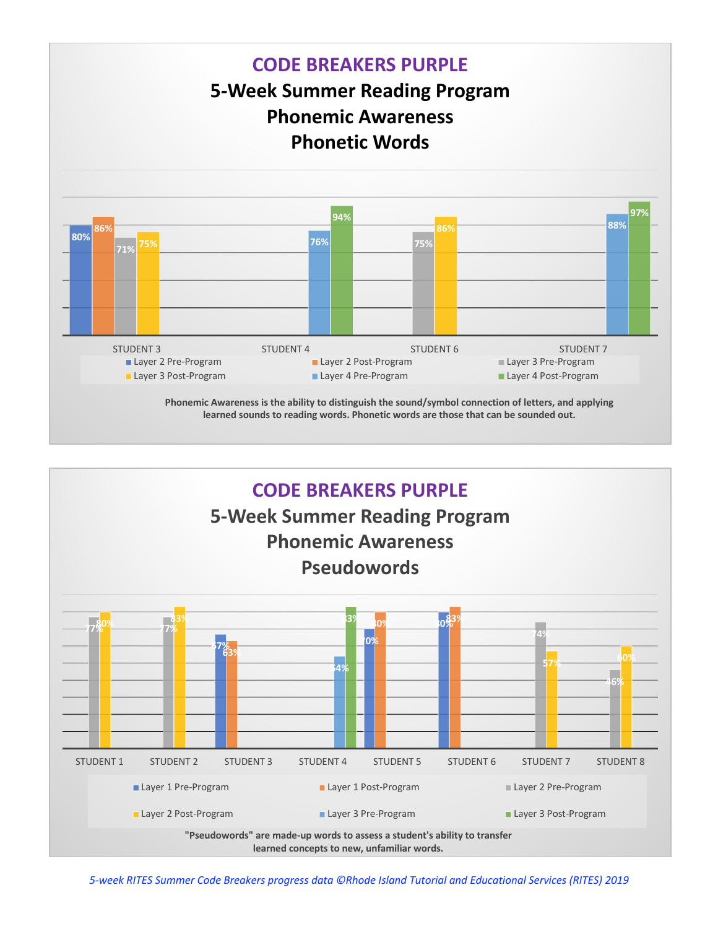

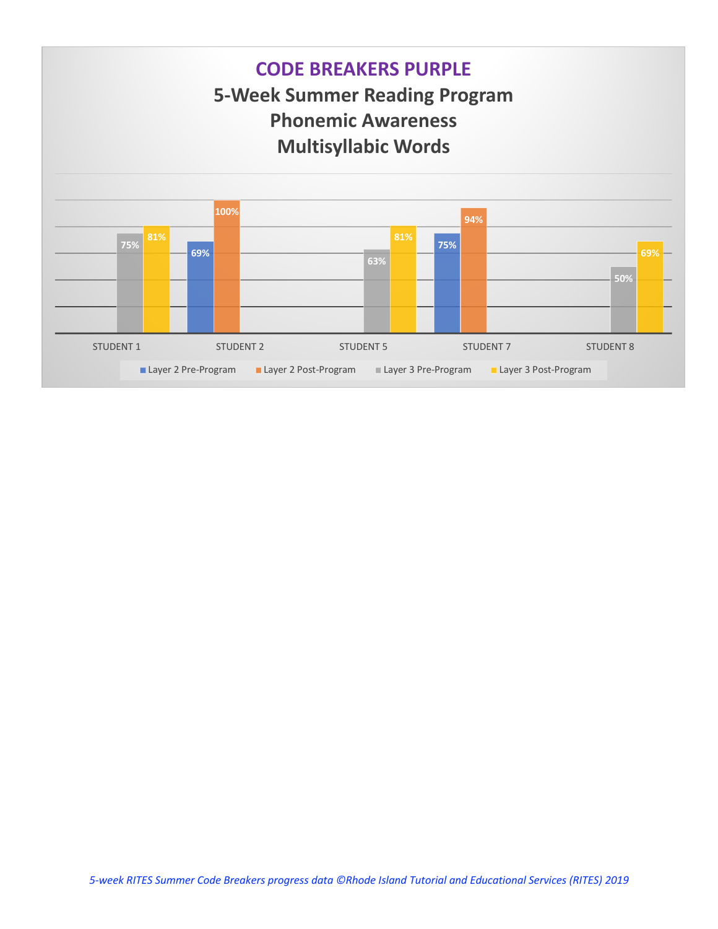